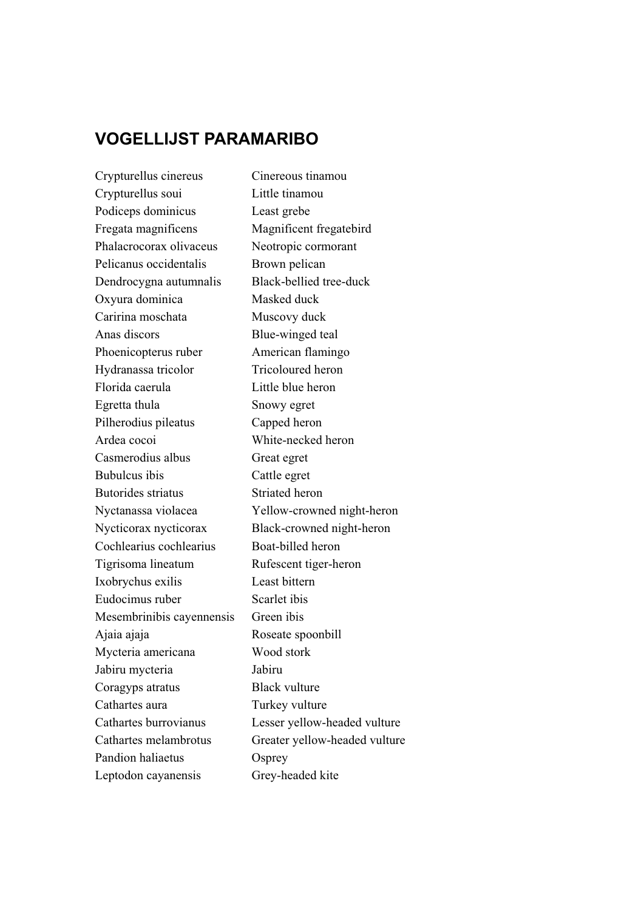## **VOGELLIJST PARAMARIBO**

Crypturellus cinereus Cinereous tinamou Crypturellus soui Little tinamou Podiceps dominicus Least grebe Fregata magnificens Magnificent fregatebird Phalacrocorax olivaceus Neotropic cormorant Pelicanus occidentalis Brown pelican Dendrocygna autumnalis Black-bellied tree-duck Oxyura dominica Masked duck Caririna moschata Muscovy duck Anas discors Blue-winged teal Phoenicopterus ruber American flamingo Hydranassa tricolor Tricoloured heron Florida caerula Little blue heron Egretta thula Snowy egret Pilherodius pileatus Capped heron Ardea cocoi White-necked heron Casmerodius albus Great egret Bubulcus ibis Cattle egret Butorides striatus Striated heron Nyctanassa violacea Yellow-crowned night-heron Nycticorax nycticorax Black-crowned night-heron Cochlearius cochlearius Boat-billed heron Tigrisoma lineatum Rufescent tiger-heron Ixobrychus exilis Least bittern Eudocimus ruber Scarlet ibis Mesembrinibis cayennensis Green ibis Ajaia ajaja Roseate spoonbill Mycteria americana Wood stork Jabiru mycteria Jabiru Coragyps atratus Black vulture Cathartes aura Turkey vulture Cathartes burrovianus Lesser yellow-headed vulture Cathartes melambrotus Greater yellow-headed vulture Pandion haliaetus Osprey Leptodon cayanensis Grey-headed kite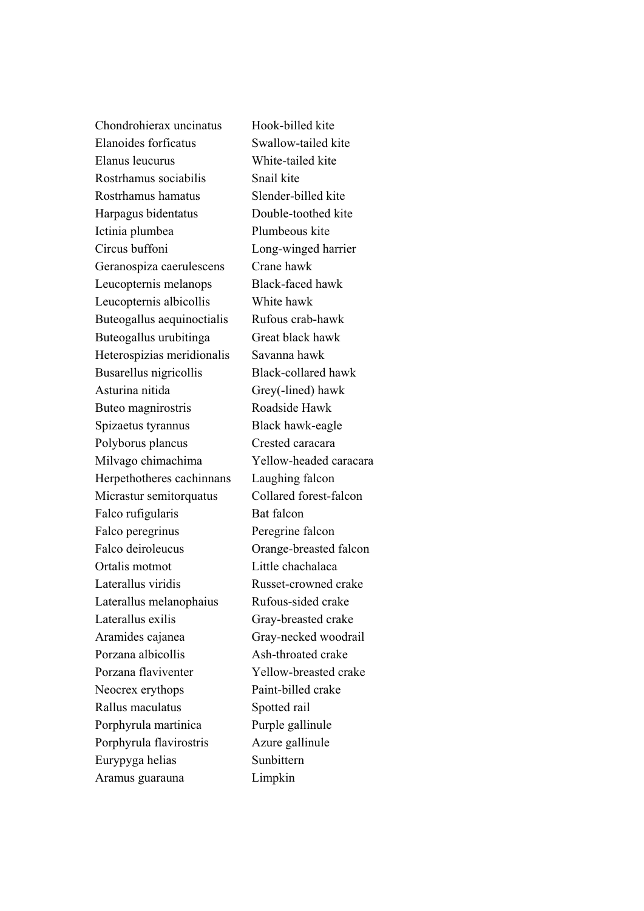Chondrohierax uncinatus Hook-billed kite Elanoides forficatus Swallow-tailed kite Elanus leucurus White-tailed kite Rostrhamus sociabilis Snail kite Rostrhamus hamatus Slender-billed kite Harpagus bidentatus Double-toothed kite Ictinia plumbea Plumbeous kite Circus buffoni Long-winged harrier Geranospiza caerulescens Crane hawk Leucopternis melanops Black-faced hawk Leucopternis albicollis White hawk Buteogallus aequinoctialis Rufous crab-hawk Buteogallus urubitinga Great black hawk Heterospizias meridionalis Savanna hawk Busarellus nigricollis Black-collared hawk Asturina nitida Grey(-lined) hawk Buteo magnirostris Roadside Hawk Spizaetus tyrannus Black hawk-eagle Polyborus plancus Crested caracara Milvago chimachima Yellow-headed caracara Herpethotheres cachinnans Laughing falcon Micrastur semitorquatus Collared forest-falcon Falco rufigularis Bat falcon Falco peregrinus Peregrine falcon Falco deiroleucus Orange-breasted falcon Ortalis motmot Little chachalaca Laterallus viridis Russet-crowned crake Laterallus melanophaius Rufous-sided crake Laterallus exilis Gray-breasted crake Aramides cajanea Gray-necked woodrail Porzana albicollis Ash-throated crake Porzana flaviventer Yellow-breasted crake Neocrex erythops Paint-billed crake Rallus maculatus Spotted rail Porphyrula martinica Purple gallinule Porphyrula flavirostris Azure gallinule Eurypyga helias Sunbittern Aramus guarauna Limpkin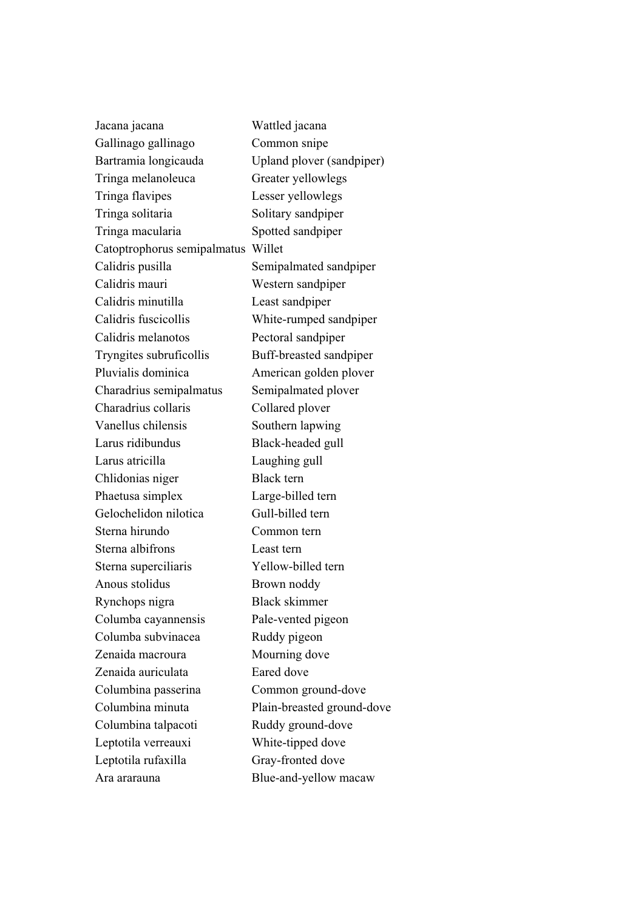| Jacana jacana               | Wattled jacana             |
|-----------------------------|----------------------------|
| Gallinago gallinago         | Common snipe               |
| Bartramia longicauda        | Upland plover (sandpiper)  |
| Tringa melanoleuca          | Greater yellowlegs         |
| Tringa flavipes             | Lesser yellowlegs          |
| Tringa solitaria            | Solitary sandpiper         |
| Tringa macularia            | Spotted sandpiper          |
| Catoptrophorus semipalmatus | Willet                     |
| Calidris pusilla            | Semipalmated sandpiper     |
| Calidris mauri              | Western sandpiper          |
| Calidris minutilla          | Least sandpiper            |
| Calidris fuscicollis        | White-rumped sandpiper     |
| Calidris melanotos          | Pectoral sandpiper         |
| Tryngites subruficollis     | Buff-breasted sandpiper    |
| Pluvialis dominica          | American golden plover     |
| Charadrius semipalmatus     | Semipalmated plover        |
| Charadrius collaris         | Collared plover            |
| Vanellus chilensis          | Southern lapwing           |
| Larus ridibundus            | Black-headed gull          |
| Larus atricilla             | Laughing gull              |
| Chlidonias niger            | <b>Black</b> tern          |
| Phaetusa simplex            | Large-billed tern          |
| Gelochelidon nilotica       | Gull-billed tern           |
| Sterna hirundo              | Common tern                |
| Sterna albifrons            | Least tern                 |
| Sterna superciliaris        | Yellow-billed tern         |
| Anous stolidus              | Brown noddy                |
| Rynchops nigra              | Black skimmer              |
| Columba cayannensis         | Pale-vented pigeon         |
| Columba subvinacea          | Ruddy pigeon               |
| Zenaida macroura            | Mourning dove              |
| Zenaida auriculata          | Eared dove                 |
| Columbina passerina         | Common ground-dove         |
| Columbina minuta            | Plain-breasted ground-dove |
| Columbina talpacoti         | Ruddy ground-dove          |
| Leptotila verreauxi         | White-tipped dove          |
| Leptotila rufaxilla         | Gray-fronted dove          |
| Ara ararauna                | Blue-and-yellow macaw      |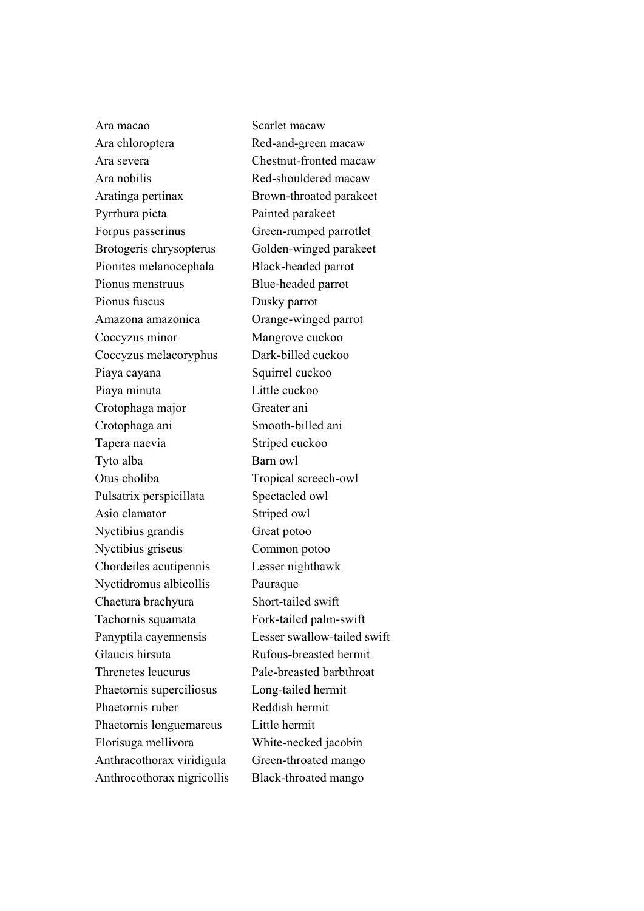Ara macao Scarlet macaw Ara chloroptera Red-and-green macaw Ara severa Chestnut-fronted macaw Ara nobilis Red-shouldered macaw Aratinga pertinax Brown-throated parakeet Pyrrhura picta Painted parakeet Forpus passerinus Green-rumped parrotlet Brotogeris chrysopterus Golden-winged parakeet Pionites melanocephala Black-headed parrot Pionus menstruus Blue-headed parrot Pionus fuscus Dusky parrot Amazona amazonica Orange-winged parrot Coccyzus minor Mangrove cuckoo Coccyzus melacoryphus Dark-billed cuckoo Piaya cayana Squirrel cuckoo Piaya minuta Little cuckoo Crotophaga major Greater ani Crotophaga ani Smooth-billed ani Tapera naevia Striped cuckoo Tyto alba Barn owl Otus choliba Tropical screech-owl Pulsatrix perspicillata Spectacled owl Asio clamator Striped owl Nyctibius grandis Great potoo Nyctibius griseus Common potoo Chordeiles acutipennis Lesser nighthawk Nyctidromus albicollis Pauraque Chaetura brachyura Short-tailed swift Tachornis squamata Fork-tailed palm-swift Panyptila cayennensis Lesser swallow-tailed swift Glaucis hirsuta Rufous-breasted hermit Threnetes leucurus Pale-breasted barbthroat Phaetornis superciliosus Long-tailed hermit Phaetornis ruber Reddish hermit Phaetornis longuemareus Little hermit Florisuga mellivora White-necked jacobin Anthracothorax viridigula Green-throated mango Anthrocothorax nigricollis Black-throated mango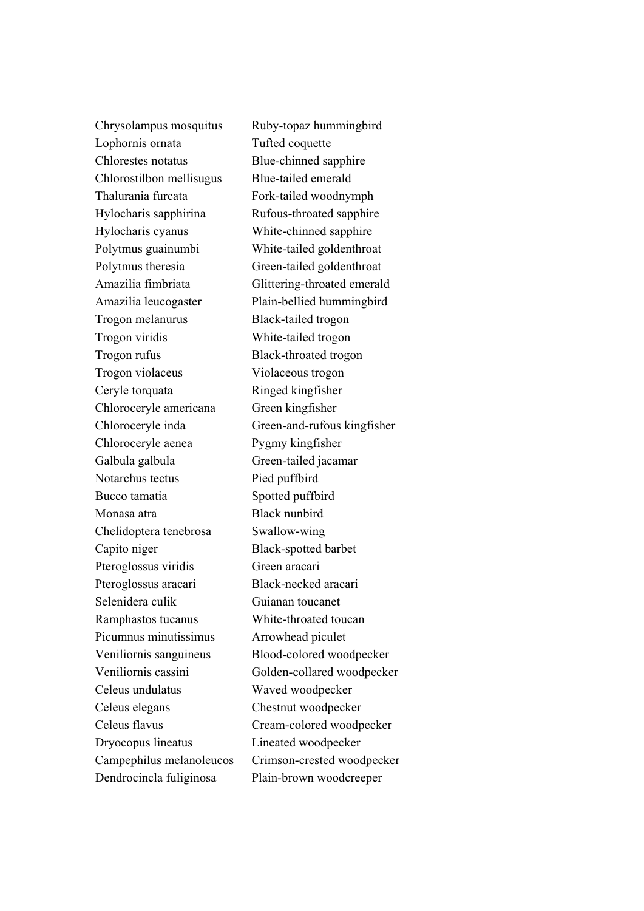Chrysolampus mosquitus Ruby-topaz hummingbird Lophornis ornata Tufted coquette Chlorestes notatus Blue-chinned sapphire Chlorostilbon mellisugus Blue-tailed emerald Thalurania furcata Fork-tailed woodnymph Hylocharis sapphirina Rufous-throated sapphire Hylocharis cyanus White-chinned sapphire Polytmus guainumbi White-tailed goldenthroat Polytmus theresia Green-tailed goldenthroat Amazilia fimbriata Glittering-throated emerald Amazilia leucogaster Plain-bellied hummingbird Trogon melanurus Black-tailed trogon Trogon viridis White-tailed trogon Trogon rufus Black-throated trogon Trogon violaceus Violaceous trogon Ceryle torquata Ringed kingfisher Chloroceryle americana Green kingfisher Chloroceryle aenea Pygmy kingfisher Galbula galbula Green-tailed jacamar Notarchus tectus Pied puffbird Bucco tamatia Spotted puffbird Monasa atra Black nunbird Chelidoptera tenebrosa Swallow-wing Capito niger Black-spotted barbet Pteroglossus viridis Green aracari Pteroglossus aracari Black-necked aracari Selenidera culik Guianan toucanet Ramphastos tucanus White-throated toucan Picumnus minutissimus Arrowhead piculet Veniliornis sanguineus Blood-colored woodpecker Celeus undulatus Waved woodpecker Celeus elegans Chestnut woodpecker Celeus flavus Cream-colored woodpecker Dryocopus lineatus Lineated woodpecker Dendrocincla fuliginosa Plain-brown woodcreeper

Chloroceryle inda Green-and-rufous kingfisher Veniliornis cassini Golden-collared woodpecker Campephilus melanoleucos Crimson-crested woodpecker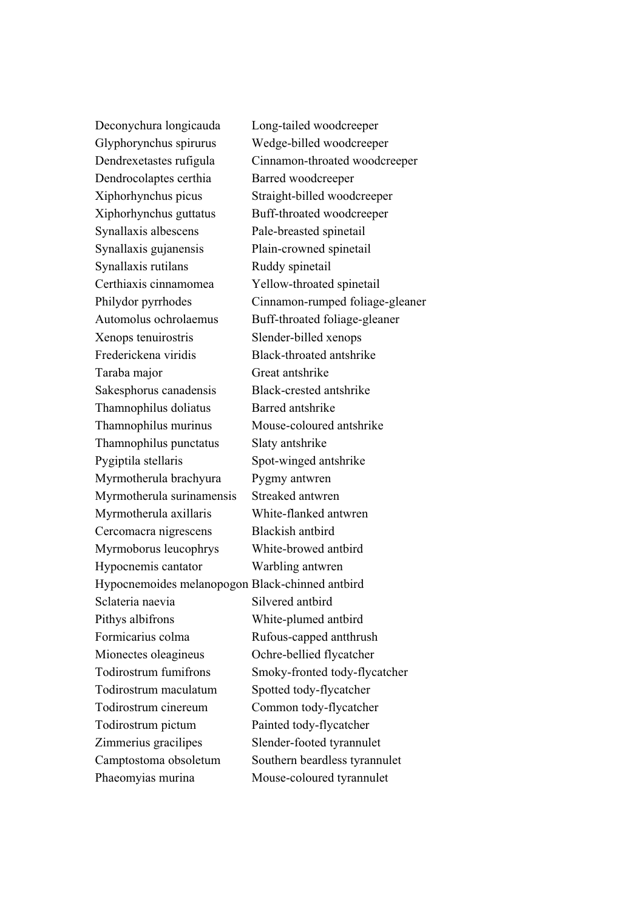Deconychura longicauda Long-tailed woodcreeper Glyphorynchus spirurus Wedge-billed woodcreeper Dendrocolaptes certhia Barred woodcreeper Xiphorhynchus picus Straight-billed woodcreeper Xiphorhynchus guttatus Buff-throated woodcreeper Synallaxis albescens Pale-breasted spinetail Synallaxis gujanensis Plain-crowned spinetail Synallaxis rutilans Ruddy spinetail Certhiaxis cinnamomea Yellow-throated spinetail Automolus ochrolaemus Buff-throated foliage-gleaner Xenops tenuirostris Slender-billed xenops Frederickena viridis Black-throated antshrike Taraba major Great antshrike Sakesphorus canadensis Black-crested antshrike Thamnophilus doliatus Barred antshrike Thamnophilus murinus Mouse-coloured antshrike Thamnophilus punctatus Slaty antshrike Pygiptila stellaris Spot-winged antshrike Myrmotherula brachyura Pygmy antwren Myrmotherula surinamensis Streaked antwren Myrmotherula axillaris White-flanked antwren Cercomacra nigrescens Blackish antbird Myrmoborus leucophrys White-browed antbird Hypocnemis cantator Warbling antwren Hypocnemoides melanopogon Black-chinned antbird Sclateria naevia Silvered antbird Pithys albifrons White-plumed antbird Formicarius colma Rufous-capped antthrush Mionectes oleagineus Ochre-bellied flycatcher Todirostrum fumifrons Smoky-fronted tody-flycatcher Todirostrum maculatum Spotted tody-flycatcher Todirostrum cinereum Common tody-flycatcher Todirostrum pictum Painted tody-flycatcher Zimmerius gracilipes Slender-footed tyrannulet Camptostoma obsoletum Southern beardless tyrannulet Phaeomyias murina Mouse-coloured tyrannulet

Dendrexetastes rufigula Cinnamon-throated woodcreeper Philydor pyrrhodes Cinnamon-rumped foliage-gleaner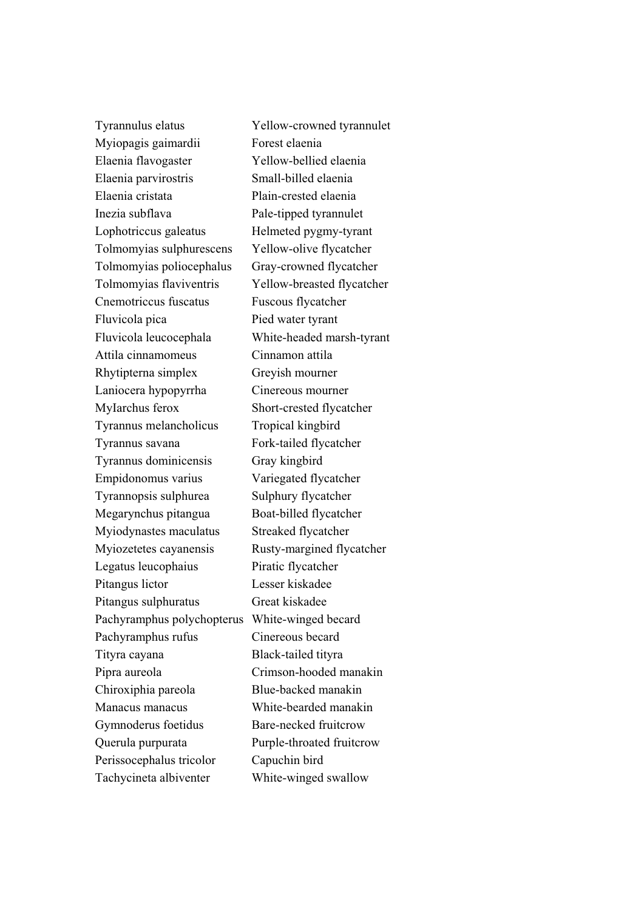Tyrannulus elatus Yellow-crowned tyrannulet Myiopagis gaimardii Forest elaenia Elaenia flavogaster Yellow-bellied elaenia Elaenia parvirostris Small-billed elaenia Elaenia cristata Plain-crested elaenia Inezia subflava Pale-tipped tyrannulet Lophotriccus galeatus Helmeted pygmy-tyrant Tolmomyias sulphurescens Yellow-olive flycatcher Tolmomyias poliocephalus Gray-crowned flycatcher Tolmomyias flaviventris Yellow-breasted flycatcher Cnemotriccus fuscatus Fuscous flycatcher Fluvicola pica Pied water tyrant Fluvicola leucocephala White-headed marsh-tyrant Attila cinnamomeus Cinnamon attila Rhytipterna simplex Greyish mourner Laniocera hypopyrrha Cinereous mourner MyIarchus ferox Short-crested flycatcher Tyrannus melancholicus Tropical kingbird Tyrannus savana Fork-tailed flycatcher Tyrannus dominicensis Gray kingbird Empidonomus varius Variegated flycatcher Tyrannopsis sulphurea Sulphury flycatcher Megarynchus pitangua Boat-billed flycatcher Myiodynastes maculatus Streaked flycatcher Myiozetetes cayanensis Rusty-margined flycatcher Legatus leucophaius Piratic flycatcher Pitangus lictor Lesser kiskadee Pitangus sulphuratus Great kiskadee Pachyramphus polychopterus White-winged becard Pachyramphus rufus Cinereous becard Tityra cayana Black-tailed tityra Pipra aureola Crimson-hooded manakin Chiroxiphia pareola Blue-backed manakin Manacus manacus White-bearded manakin Gymnoderus foetidus Bare-necked fruitcrow Querula purpurata Purple-throated fruitcrow Perissocephalus tricolor Capuchin bird Tachycineta albiventer White-winged swallow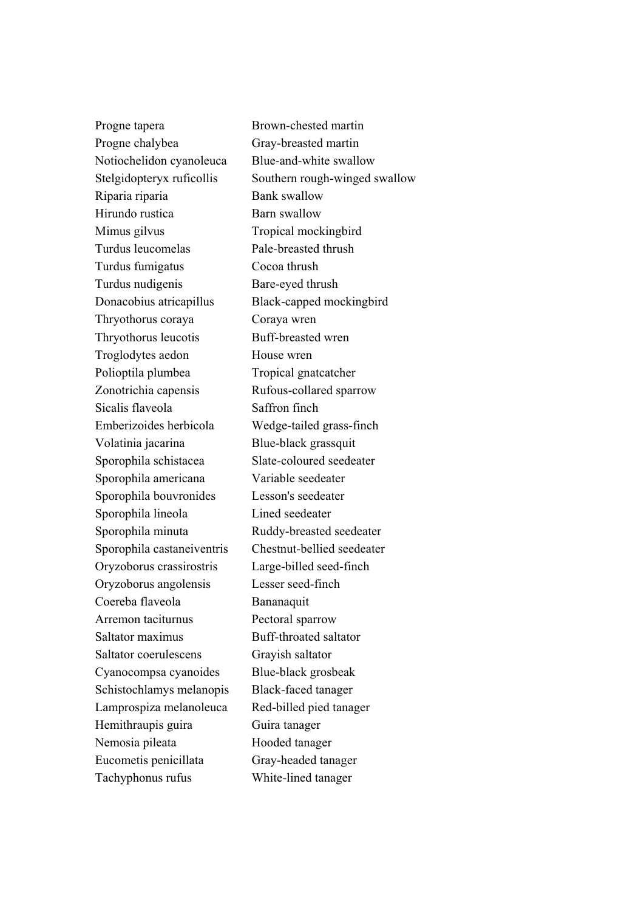Progne tapera Brown-chested martin Progne chalybea Gray-breasted martin Notiochelidon cyanoleuca Blue-and-white swallow Riparia riparia Bank swallow Hirundo rustica Barn swallow Mimus gilvus Tropical mockingbird Turdus leucomelas Pale-breasted thrush Turdus fumigatus Cocoa thrush Turdus nudigenis Bare-eyed thrush Donacobius atricapillus Black-capped mockingbird Thryothorus coraya Coraya wren Thryothorus leucotis Buff-breasted wren Troglodytes aedon House wren Polioptila plumbea Tropical gnatcatcher Zonotrichia capensis Rufous-collared sparrow Sicalis flaveola<br>
Saffron finch Emberizoides herbicola Wedge-tailed grass-finch Volatinia jacarina Blue-black grassquit Sporophila schistacea Slate-coloured seedeater Sporophila americana Variable seedeater Sporophila bouvronides Lesson's seedeater Sporophila lineola Lined seedeater Sporophila minuta Ruddy-breasted seedeater Sporophila castaneiventris Chestnut-bellied seedeater Oryzoborus crassirostris Large-billed seed-finch Oryzoborus angolensis Lesser seed-finch Coereba flaveola Bananaquit Arremon taciturnus Pectoral sparrow Saltator maximus Buff-throated saltator Saltator coerulescens Grayish saltator Cyanocompsa cyanoides Blue-black grosbeak Schistochlamys melanopis Black-faced tanager Lamprospiza melanoleuca Red-billed pied tanager Hemithraupis guira Guira tanager Nemosia pileata Hooded tanager Eucometis penicillata Gray-headed tanager Tachyphonus rufus White-lined tanager

Stelgidopteryx ruficollis Southern rough-winged swallow